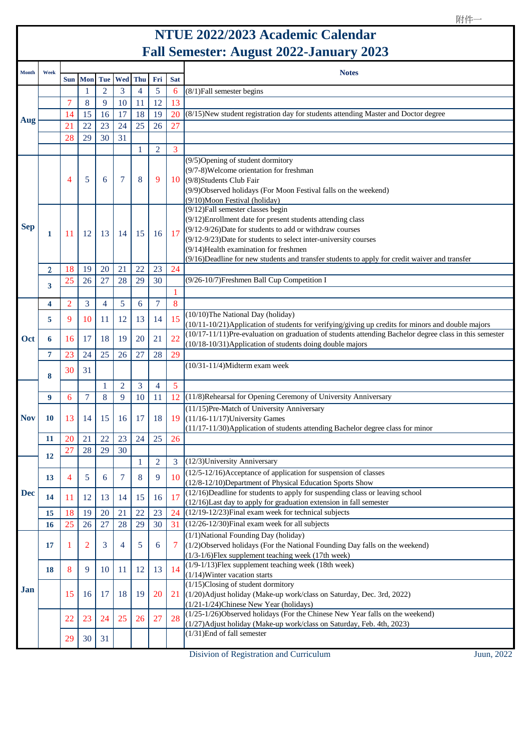## **NTUE 2022/2023 Academic Calendar Fall Semester: August 2022-January 2023**

| <b>Month</b> | Week           |                |                |                |                |                |                |            | <b>Notes</b>                                                                                                                                                                                                                                                                                                                                                                              |
|--------------|----------------|----------------|----------------|----------------|----------------|----------------|----------------|------------|-------------------------------------------------------------------------------------------------------------------------------------------------------------------------------------------------------------------------------------------------------------------------------------------------------------------------------------------------------------------------------------------|
|              |                | <b>Sun</b>     | <b>Mon</b>     | Tue            | Wed            | Thu            | Fri            | <b>Sat</b> |                                                                                                                                                                                                                                                                                                                                                                                           |
| Aug          |                |                | 1              | $\overline{2}$ | 3              | $\overline{4}$ | 5              | 6          | (8/1) Fall semester begins                                                                                                                                                                                                                                                                                                                                                                |
|              |                | 7              | 8              | 9              | 10             | 11             | 12             | 13         |                                                                                                                                                                                                                                                                                                                                                                                           |
|              |                | 14             | 15             | 16             | 17             | 18             | 19             | 20         | (8/15)New student registration day for students attending Master and Doctor degree                                                                                                                                                                                                                                                                                                        |
|              |                | 21             | 22             | 23             | 24             | 25             | 26             | 27         |                                                                                                                                                                                                                                                                                                                                                                                           |
|              |                | 28             | 29             | 30             | 31             |                |                |            |                                                                                                                                                                                                                                                                                                                                                                                           |
|              |                |                |                |                |                | 1              | $\overline{2}$ | 3          |                                                                                                                                                                                                                                                                                                                                                                                           |
| <b>Sep</b>   |                | 4              | 5              | 6              | $\tau$         | 8              | 9              |            | $(9/5)$ Opening of student dormitory<br>$(9/7-8)$ Welcome orientation for freshman<br>$10$ (9/8)Students Club Fair<br>(9/9) Observed holidays (For Moon Festival falls on the weekend)<br>(9/10)Moon Festival (holiday)                                                                                                                                                                   |
|              | 1              | 11             | 12             | 13             | 14             | 15             | 16             | 17         | $(9/12)$ Fall semester classes begin<br>$(9/12)$ Enrollment date for present students attending class<br>$(9/12-9/26)$ Date for students to add or withdraw courses<br>$(9/12-9/23)$ Date for students to select inter-university courses<br>$(9/14)$ Health examination for freshmen<br>$(9/16)$ Deadline for new students and transfer students to apply for credit waiver and transfer |
|              | $\overline{2}$ | 18             | 19             | 20             | 21             | 22             | 23             | 24         |                                                                                                                                                                                                                                                                                                                                                                                           |
|              | 3              | 25             | 26             | 27             | 28             | 29             | 30             |            | (9/26-10/7) Freshmen Ball Cup Competition I                                                                                                                                                                                                                                                                                                                                               |
|              |                |                |                |                |                |                |                | 1          |                                                                                                                                                                                                                                                                                                                                                                                           |
| Oct          | 4              | $\overline{2}$ | 3              | $\overline{4}$ | 5              | 6              | $\overline{7}$ | 8          |                                                                                                                                                                                                                                                                                                                                                                                           |
|              | 5              | 9              | 10             | 11             | 12             | 13             | 14             | 15         | (10/10)The National Day (holiday)<br>$(10/11-10/21)$ Application of students for verifying/giving up credits for minors and double majors                                                                                                                                                                                                                                                 |
|              | 6              | 16             | 17             | 18             | 19             | 20             | 21             | 22         | $(10/17-11/11)$ Pre-evaluation on graduation of students attending Bachelor degree class in this semester<br>$(10/18-10/31)$ Application of students doing double majors                                                                                                                                                                                                                  |
|              | 7              | 23             | 24             | 25             | 26             | 27             | 28             | 29         |                                                                                                                                                                                                                                                                                                                                                                                           |
|              | 8              | 30             | 31             |                |                |                |                |            | $(10/31 - 11/4)$ Midterm exam week                                                                                                                                                                                                                                                                                                                                                        |
|              |                |                |                | 1              | $\overline{2}$ | 3              | $\overline{4}$ | 5          |                                                                                                                                                                                                                                                                                                                                                                                           |
|              | 9              | 6              | $\overline{7}$ | 8              | 9              | 10             | 11             | 12         | (11/8) Rehearsal for Opening Ceremony of University Anniversary                                                                                                                                                                                                                                                                                                                           |
| <b>Nov</b>   | 10             | 13             | 14             | 15             | 16             | 17             | 18             | 19         | (11/15)Pre-Match of University Anniversary<br>$(11/16-11/17)$ University Games<br>(11/17-11/30) Application of students attending Bachelor degree class for minor                                                                                                                                                                                                                         |
|              | 11             | 20             | 21             | 22             | 23             | 24             | 25             | 26         |                                                                                                                                                                                                                                                                                                                                                                                           |
|              | 12             | 27             | 28             | 29             | 30             |                |                |            |                                                                                                                                                                                                                                                                                                                                                                                           |
|              |                |                |                |                |                |                | 2              | 3          | $(12/3)$ University Anniversary                                                                                                                                                                                                                                                                                                                                                           |
|              | 13             | 4              | 5              | 6              | 7              | 8              | 9              | 10         | $(12/5-12/16)$ Acceptance of application for suspension of classes<br>$(12/8-12/10)$ Department of Physical Education Sports Show                                                                                                                                                                                                                                                         |
| <b>Dec</b>   | 14             | 11             | 12             | 13             | 14             | 15             | 16             | 17         | (12/16)Deadline for students to apply for suspending class or leaving school<br>(12/16) Last day to apply for graduation extension in fall semester                                                                                                                                                                                                                                       |
|              | 15             | 18             | 19             | 20             | 21             | 22             | 23             | 24         | $(12/19-12/23)$ Final exam week for technical subjects                                                                                                                                                                                                                                                                                                                                    |
|              | 16             | 25             | 26             | 27             | 28             | 29             | 30             | 31         | $(12/26 - 12/30)$ Final exam week for all subjects                                                                                                                                                                                                                                                                                                                                        |
| Jan          | 17             |                | $\overline{2}$ | 3              | 4              | 5              | 6              | 7          | $(1/1)$ National Founding Day (holiday)<br>$(1/2)$ Observed holidays (For the National Founding Day falls on the weekend)<br>$(1/3-1/6)$ Flex supplement teaching week (17th week)                                                                                                                                                                                                        |
|              | 18             | 8              | 9              | 10             | 11             | 12             | 13             | 14         | $(1/9-1/13)$ Flex supplement teaching week (18th week)<br>$(1/14)$ Winter vacation starts                                                                                                                                                                                                                                                                                                 |
|              |                | 15             | 16             | 17             | 18             | 19             | 20             |            | $(1/15)$ Closing of student dormitory<br>$21$ (1/20) Adjust holiday (Make-up work/class on Saturday, Dec. 3rd, 2022)<br>$(1/21-1/24)$ Chinese New Year (holidays)                                                                                                                                                                                                                         |
|              |                | 22             | 23             | 24             | 25             | 26             | 27             | 28         | $(1/25-1/26)$ Observed holidays (For the Chinese New Year falls on the weekend)<br>(1/27) Adjust holiday (Make-up work/class on Saturday, Feb. 4th, 2023)                                                                                                                                                                                                                                 |
|              |                | 29             | 30             | 31             |                |                |                |            | $(1/31)$ End of fall semester                                                                                                                                                                                                                                                                                                                                                             |

Disivion of Registration and Curriculum Juun, 2022